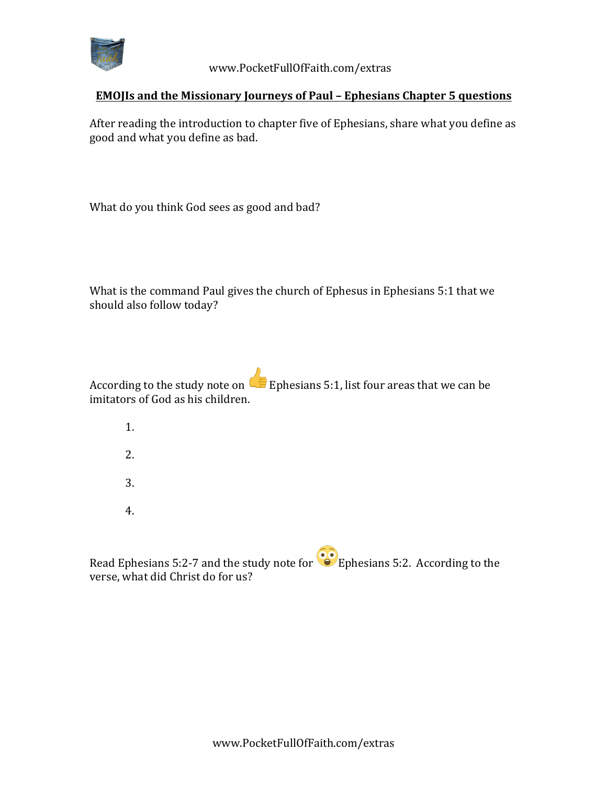

 www.PocketFullOfFaith.com/extras

## **EMOJIs and the Missionary Journeys of Paul - Ephesians Chapter 5 questions**

After reading the introduction to chapter five of Ephesians, share what you define as good and what you define as bad.

What do you think God sees as good and bad?

What is the command Paul gives the church of Ephesus in Ephesians 5:1 that we should also follow today?

According to the study note on Ephesians 5:1, list four areas that we can be imitators of God as his children.

- 1.
- 2.
- 3.
- 4.

Read Ephesians 5:2-7 and the study note for  $\bullet$  Ephesians 5:2. According to the verse, what did Christ do for us?